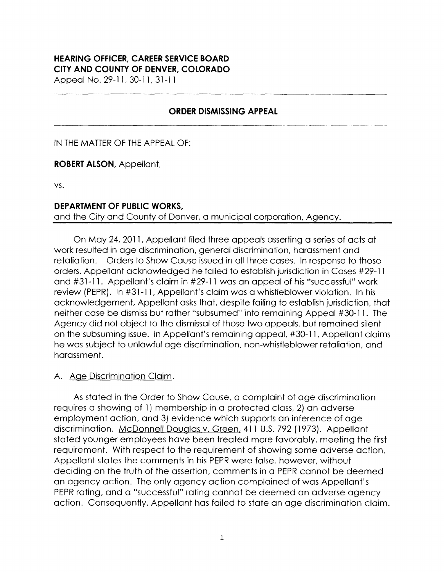#### **HEARING OFFICER, CAREER SERVICE BOARD CITY AND COUNTY OF DENVER, COLORADO**

Appeal No. 29-11, 30-11, 31-11

### **ORDER DISMISSING APPEAL**

IN THE MATTER OF THE APPEAL OF:

**ROBERT ALSON,** Appellant,

VS.

### **DEPARTMENT OF PUBLIC WORKS,**

and the City and County of Denver, a municipal corporation, Agency.

On May 24, 2011, Appellant filed three appeals asserting a series of acts at work resulted in age discrimination, general discrimination, harassment and retaliation. Orders to Show Cause issued in all three cases. In response to those orders, Appellant acknowledged he failed to establish jurisdiction in Cases #29-11 and #31-11. Appellant's claim in #29-11 was an appeal of his "successful" work review (PEPR). In #31-11, Appellant's claim was a whistleblower violation. In his acknowledgement, Appellant asks that, despite failing to establish jurisdiction, that neither case be dismiss but rather "subsumed" into remaining Appeal #30-11. The Agency did not object to the dismissal of those two appeals, but remained silent on the subsuming issue. In Appellant's remaining appeal, #30-11, Appellant claims he was subject to unlawful age discrimination, non-whistleblower retaliation, and harassment.

### A. Age Discrimination Claim.

As stated in the Order to Show Cause, a complaint of age discrimination requires a showing of 1) membership in a protected class, 2) an adverse employment action, and 3) evidence which supports an inference of age discrimination. McDonnell Douglas v. Green, 411 U.S. 792 (1973). Appellant stated younger employees have been treated more favorably, meeting the first requirement. With respect to the requirement of showing some adverse action, Appellant states the comments in his PEPR were false, however, without deciding on the truth of the assertion, comments in a PEPR cannot be deemed an agency action. The only agency action complained of was Appellant's PEPR rating, and a "successful" rating cannot be deemed an adverse agency action. Consequently, Appellant has failed to state an age discrimination claim.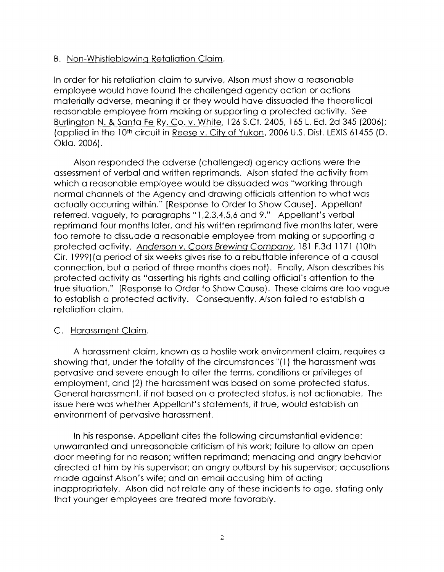## 8. Non-Whistleblowing Retaliation Claim.

In order for his retaliation claim to survive, Alson must show a reasonable employee would have found the challenged agency action or actions materially adverse, meaning it or they would have dissuaded the theoretical reasonable employee from making or supporting a protected activity. See Burlington N. & Santa Fe Ry. Co. v. White, 126 S.Ct. 2405, 165 L. Ed. 2d 345 (2006); (applied in the 10th circuit in Reese v. City of Yukon, 2006 U.S. Dist. LEXIS 61455 (D. Okla. 2006).

Alson responded the adverse (challenged) agency actions were the assessment of verbal and written reprimands. Alson stated the activity from which a reasonable employee would be dissuaded was "working through normal channels of the Agency and drawing officials attention to what was actually occurring within." [Response to Order to Show Cause]. Appellant referred, vaguely, to paragraphs "l,2,3,4,5,6 and 9." Appellant's verbal reprimand four months later, and his written reprimand five months later, were too remote to dissuade a reasonable employee from making or supporting a protected activity. Anderson v. Coors Brewing Company, 181 F.3d 1171 (10th Cir. 1999) (a period of six weeks gives rise to a rebuttable inference of a causal connection, but a period of three months does not). Finally, Alson describes his protected activity as "asserting his rights and calling official's attention to the true situation." [Response to Order to Show Cause). These claims are too vague to establish a protected activity. Consequently, Alson failed to establish a retaliation claim.

# C. Harassment Claim.

A harassment claim, known as a hostile work environment claim, requires a showing that, under the totality of the circumstances"( 1) the harassment was pervasive and severe enough to alter the terms, conditions or privileges of employment, and (2) the harassment was based on some protected status. General harassment, if not based on a protected status, is not actionable. The issue here was whether Appellant's statements, if true, would establish an environment of pervasive harassment.

In his response, Appellant cites the following circumstantial evidence: unwarranted and unreasonable criticism of his work; failure to allow an open door meeting for no reason; written reprimand; menacing and angry behavior directed at him by his supervisor; an angry outburst by his supervisor; accusations made against Alson's wife; and an email accusing him of acting inappropriately. Alson did not relate any of these incidents to age, stating only that younger employees are treated more favorably.